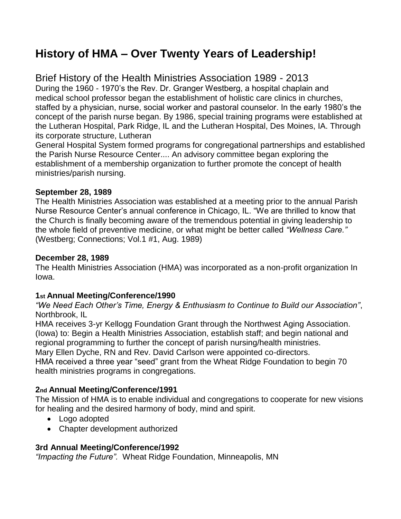# **History of HMA – Over Twenty Years of Leadership!**

# Brief History of the Health Ministries Association 1989 - 2013

During the 1960 - 1970's the Rev. Dr. Granger Westberg, a hospital chaplain and medical school professor began the establishment of holistic care clinics in churches, staffed by a physician, nurse, social worker and pastoral counselor. In the early 1980's the concept of the parish nurse began. By 1986, special training programs were established at the Lutheran Hospital, Park Ridge, IL and the Lutheran Hospital, Des Moines, IA. Through its corporate structure, Lutheran

General Hospital System formed programs for congregational partnerships and established the Parish Nurse Resource Center.... An advisory committee began exploring the establishment of a membership organization to further promote the concept of health ministries/parish nursing.

#### **September 28, 1989**

The Health Ministries Association was established at a meeting prior to the annual Parish Nurse Resource Center's annual conference in Chicago, IL. "We are thrilled to know that the Church is finally becoming aware of the tremendous potential in giving leadership to the whole field of preventive medicine, or what might be better called *"Wellness Care."* (Westberg; Connections; Vol.1 #1, Aug. 1989)

## **December 28, 1989**

The Health Ministries Association (HMA) was incorporated as a non-profit organization In Iowa.

# **1st Annual Meeting/Conference/1990**

*"We Need Each Other's Time, Energy & Enthusiasm to Continue to Build our Association"*, Northbrook, IL

HMA receives 3-yr Kellogg Foundation Grant through the Northwest Aging Association. (Iowa) to: Begin a Health Ministries Association, establish staff; and begin national and regional programming to further the concept of parish nursing/health ministries.

Mary Ellen Dyche, RN and Rev. David Carlson were appointed co-directors.

HMA received a three year "seed" grant from the Wheat Ridge Foundation to begin 70 health ministries programs in congregations.

# **2nd Annual Meeting/Conference/1991**

The Mission of HMA is to enable individual and congregations to cooperate for new visions for healing and the desired harmony of body, mind and spirit.

- Logo adopted
- Chapter development authorized

# **3rd Annual Meeting/Conference/1992**

*"Impacting the Future".* Wheat Ridge Foundation, Minneapolis, MN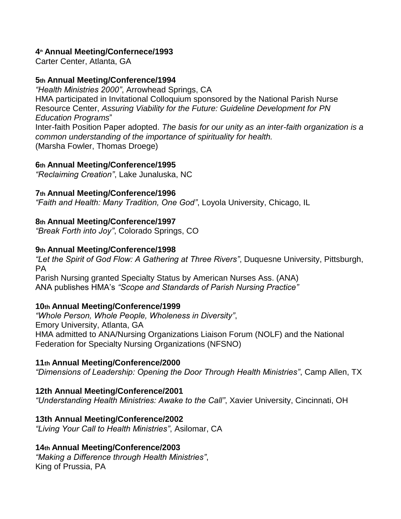## **4 th Annual Meeting/Confernece/1993**

Carter Center, Atlanta, GA

#### **5th Annual Meeting/Conference/1994**

*"Health Ministries 2000"*, Arrowhead Springs, CA HMA participated in Invitational Colloquium sponsored by the National Parish Nurse Resource Center, *Assuring Viability for the Future: Guideline Development for PN Education Programs*" Inter-faith Position Paper adopted. *The basis for our unity as an inter-faith organization is a common understanding of the importance of spirituality for health.*

(Marsha Fowler, Thomas Droege)

#### **6th Annual Meeting/Conference/1995**

*"Reclaiming Creation"*, Lake Junaluska, NC

#### **7th Annual Meeting/Conference/1996**

*"Faith and Health: Many Tradition, One God"*, Loyola University, Chicago, IL

#### **8th Annual Meeting/Conference/1997**

*"Break Forth into Joy"*, Colorado Springs, CO

#### **9th Annual Meeting/Conference/1998**

*"Let the Spirit of God Flow: A Gathering at Three Rivers"*, Duquesne University, Pittsburgh, PA

Parish Nursing granted Specialty Status by American Nurses Ass. (ANA) ANA publishes HMA's *"Scope and Standards of Parish Nursing Practice"*

#### **10th Annual Meeting/Conference/1999**

*"Whole Person, Whole People, Wholeness in Diversity"*, Emory University, Atlanta, GA HMA admitted to ANA/Nursing Organizations Liaison Forum (NOLF) and the National Federation for Specialty Nursing Organizations (NFSNO)

#### **11th Annual Meeting/Conference/2000**

*"Dimensions of Leadership: Opening the Door Through Health Ministries"*, Camp Allen, TX

#### **12th Annual Meeting/Conference/2001**

*"Understanding Health Ministries: Awake to the Call"*, Xavier University, Cincinnati, OH

#### **13th Annual Meeting/Conference/2002**

*"Living Your Call to Health Ministries"*, Asilomar, CA

#### **14th Annual Meeting/Conference/2003**

*"Making a Difference through Health Ministries"*, King of Prussia, PA